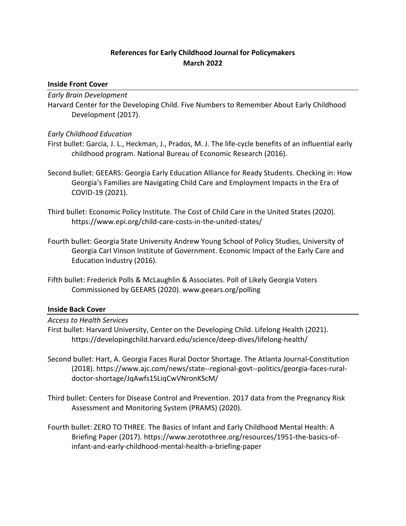# **References for Early Childhood Journal for Policymakers March 2022**

### **Inside Front Cover**

### *Early Brain Development*

Harvard Center for the Developing Child. Five Numbers to Remember About Early Childhood Development (2017).

### *Early Childhood Education*

- First bullet: Garcia, J. L., Heckman, J., Prados, M. J. The life-cycle benefits of an influential early childhood program. National Bureau of Economic Research (2016).
- Second bullet: GEEARS: Georgia Early Education Alliance for Ready Students. Checking in: How Georgia's Families are Navigating Child Care and Employment Impacts in the Era of COVID-19 (2021).
- Third bullet: Economic Policy Institute. The Cost of Child Care in the United States (2020). https://www.epi.org/child-care-costs-in-the-united-states/
- Fourth bullet: Georgia State University Andrew Young School of Policy Studies, University of Georgia Carl Vinson Institute of Government. Economic Impact of the Early Care and Education Industry (2016).
- Fifth bullet: Frederick Polls & McLaughlin & Associates. Poll of Likely Georgia Voters Commissioned by GEEARS (2020). www.geears.org/polling

## **Inside Back Cover**

### *Access to Health Services*

- First bullet: Harvard University, Center on the Developing Child. Lifelong Health (2021). https://developingchild.harvard.edu/science/deep-dives/lifelong-health/
- Second bullet: Hart, A. Georgia Faces Rural Doctor Shortage. The Atlanta Journal-Constitution (2018). https://www.ajc.com/news/state--regional-govt--politics/georgia-faces-ruraldoctor-shortage/JqAwfs1SLiqCwVNronKScM/
- Third bullet: Centers for Disease Control and Prevention. 2017 data from the Pregnancy Risk Assessment and Monitoring System (PRAMS) (2020).
- Fourth bullet: ZERO TO THREE. The Basics of Infant and Early Childhood Mental Health: A Briefing Paper (2017). https://www.zerotothree.org/resources/1951-the-basics-ofinfant-and-early-childhood-mental-health-a-briefing-paper